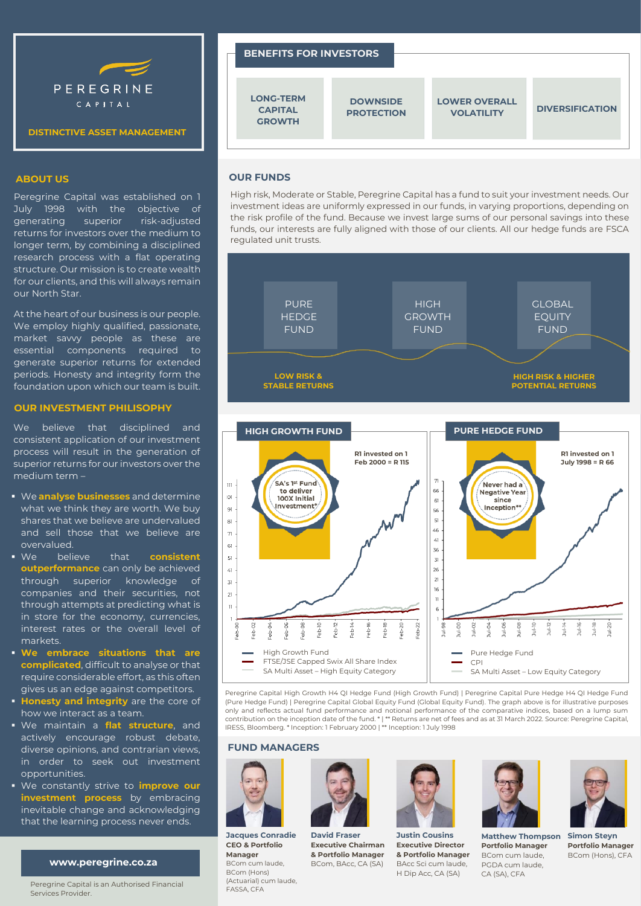

# **DISTINCTIVE ASSET MANAGEMENT**

### **ABOUT US**

Peregrine Capital was established on 1 July 1998 with the objective of generating superior risk-adjusted returns for investors over the medium to longer term, by combining a disciplined research process with a flat operating structure. Our mission is to create wealth for our clients, and this will always remain our North Star.

At the heart of our business is our people. We employ highly qualified, passionate, market savvy people as these are essential components required to generate superior returns for extended periods. Honesty and integrity form the foundation upon which our team is built.

#### **OUR INVESTMENT PHILISOPHY**

We believe that disciplined and consistent application of our investment process will result in the generation of superior returns for our investors over the medium term –

- We **analyse businesses** and determine what we think they are worth. We buy shares that we believe are undervalued and sell those that we believe are overvalued.
- We believe that **consistent outperformance** can only be achieved through superior knowledge of companies and their securities, not through attempts at predicting what is in store for the economy, currencies, interest rates or the overall level of markets.
- **We embrace situations that are complicated**, difficult to analyse or that require considerable effort, as this often gives us an edge against competitors.
- **Honesty and integrity** are the core of how we interact as a team.
- We maintain a **flat structure**, and actively encourage robust debate, diverse opinions, and contrarian views, in order to seek out investment opportunities.
- We constantly strive to **improve our investment process** by embracing inevitable change and acknowledging that the learning process never ends.

### **www.peregrine.co.za**

Peregrine Capital is an Authorised Financial Services Provider.

# **BENEFITS FOR INVESTORS LOWER OVERALL VOLATILITY DOWNSIDE PROTECTION LONG-TERM CAPITAL GROWTH DIVERSIFICATION**

# **OUR FUNDS**

High risk, Moderate or Stable, Peregrine Capital has a fund to suit your investment needs. Our investment ideas are uniformly expressed in our funds, in varying proportions, depending on the risk profile of the fund. Because we invest large sums of our personal savings into these funds, our interests are fully aligned with those of our clients. All our hedge funds are FSCA regulated unit trusts.





Peregrine Capital High Growth H4 QI Hedge Fund (High Growth Fund) | Peregrine Capital Pure Hedge H4 QI Hedge Fund (Pure Hedge Fund) | Peregrine Capital Global Equity Fund (Global Equity Fund). The graph above is for illustrative purposes only and reflects actual fund performance and notional performance of the comparative indices, based on a lump sum contribution on the inception date of the fund. \* | \*\* Returns are net of fees and as at 31 March 2022. Source: Peregrine Capital, IRESS, Bloomberg. \* Inception: 1 February 2000 | \*\* Inception: 1 July 1998

### **FUND MANAGERS**



**Jacques Conradie CEO & Portfolio Manager** BCom cum laude, BCom (Hons) (Actuarial) cum laude, FASSA, CFA



**David Fraser Executive Chairman & Portfolio Manager** BCom, BAcc, CA (SA)



**Justin Cousins Executive Director & Portfolio Manager** BAcc Sci cum laude, H Dip Acc, CA (SA)





**Matthew Thompson Portfolio Manager** BCom cum laude, PGDA cum laude, CA (SA), CFA

**Simon Steyn Portfolio Manager** BCom (Hons), CFA